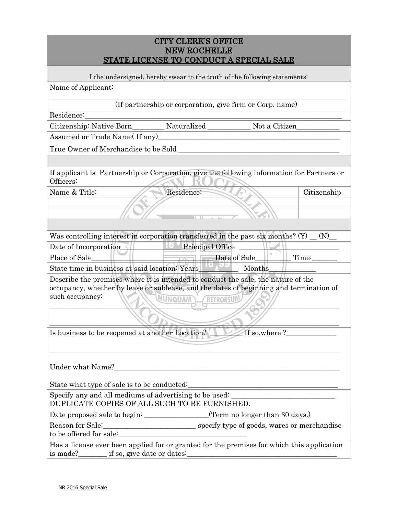| <b>CITY CLERK'S OFFICE</b>              |
|-----------------------------------------|
| <b>NEW ROCHELLE</b>                     |
| STATE LICENSE TO CONDUCT A SPECIAL SALE |

| I the undersigned, hereby swear to the truth of the following statements:                                                                                                                                                     |             |  |
|-------------------------------------------------------------------------------------------------------------------------------------------------------------------------------------------------------------------------------|-------------|--|
| Name of Applicant:                                                                                                                                                                                                            |             |  |
| (If partnership or corporation, give firm or Corp. name)                                                                                                                                                                      |             |  |
| Residence:                                                                                                                                                                                                                    |             |  |
| Citizenship: Native Born___________ Naturalized _______________ Not a Citizen_                                                                                                                                                |             |  |
| Assumed or Trade Name(If any)                                                                                                                                                                                                 |             |  |
|                                                                                                                                                                                                                               |             |  |
|                                                                                                                                                                                                                               |             |  |
| If applicant is Partnership or Corporation, give the following information for Partners or<br>Officers:                                                                                                                       |             |  |
| Residence:<br>Name & Title:                                                                                                                                                                                                   | Citizenship |  |
|                                                                                                                                                                                                                               |             |  |
|                                                                                                                                                                                                                               |             |  |
|                                                                                                                                                                                                                               |             |  |
| Was controlling interest in corporation transferred in the past six months? $(Y)$ (N)                                                                                                                                         |             |  |
| <b>Example 2</b> Principal Office<br>Date of Incorporation                                                                                                                                                                    |             |  |
| $\sqrt{2}$ Date of Sale<br>Place of Sale                                                                                                                                                                                      | Time:       |  |
| State time in business at said location: Years<br>Months                                                                                                                                                                      |             |  |
| Describe the premises where it is intended to conduct the sale, the nature of the<br>occupancy, whether by lease or sublease, and the dates of beginning and termination of<br>such occupancy:<br>NUNQUAM<br><b>RETRORSUN</b> |             |  |
|                                                                                                                                                                                                                               |             |  |
| Is business to be reopened at another Location?<br>If so, where ?                                                                                                                                                             |             |  |
| Under what Name?                                                                                                                                                                                                              |             |  |
| State what type of sale is to be conducted:                                                                                                                                                                                   |             |  |
| Specify any and all mediums of advertising to be used:<br>DUPLICATE COPIES OF ALL SUCH TO BE FURNISHED.                                                                                                                       |             |  |
| (Term no longer than 30 days.)                                                                                                                                                                                                |             |  |
| Reason for Sale:                                                                                                                                                                                                              |             |  |
| to be offered for sale:                                                                                                                                                                                                       |             |  |
| Has a license ever been applied for or granted for the premises for which this application<br>is made?________ if so, give date or dates:                                                                                     |             |  |